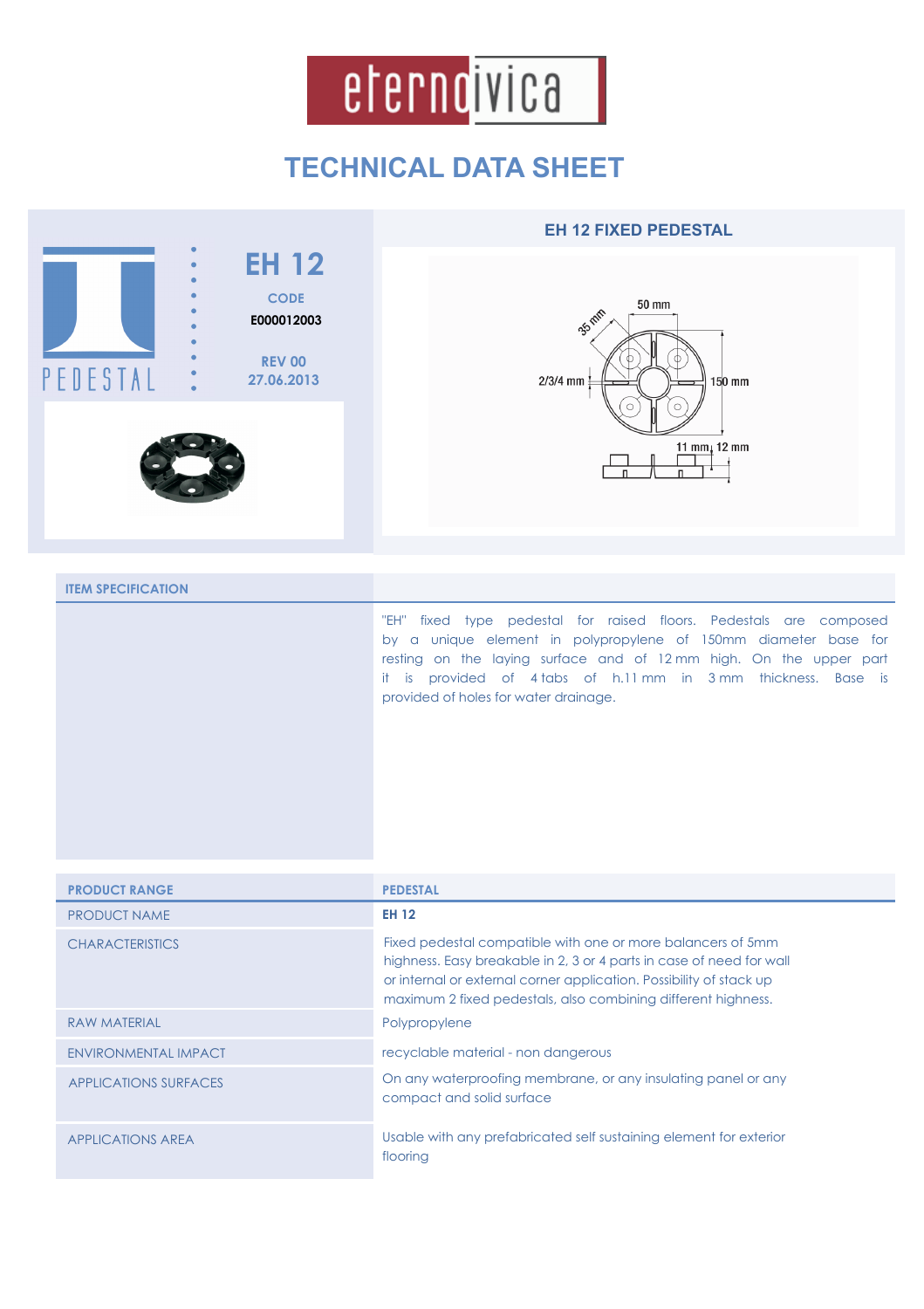

## **TECHNICAL DATA SHEET**